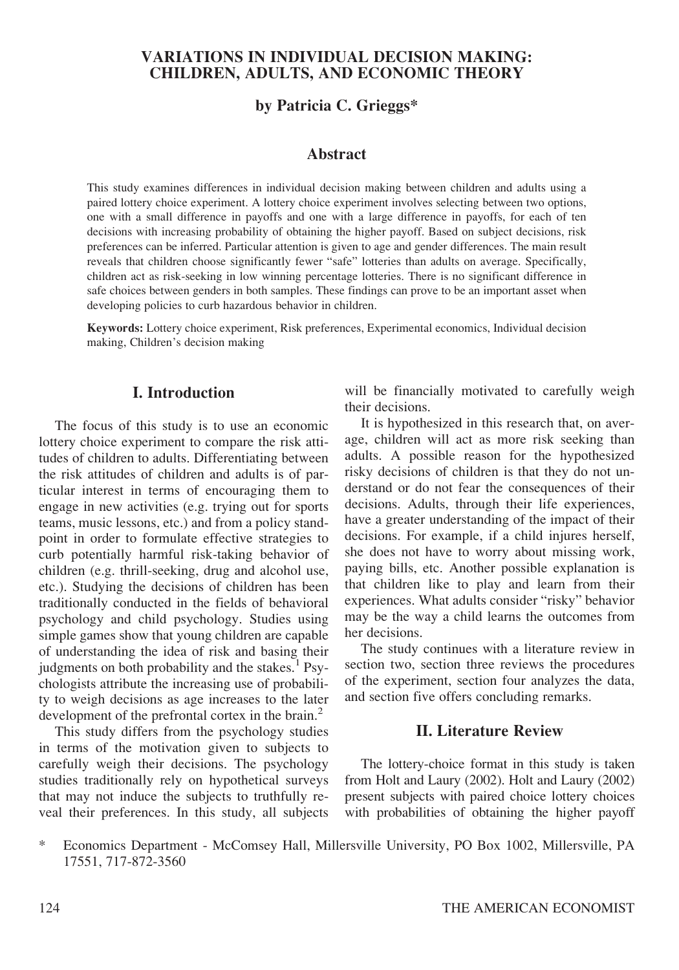# VARIATIONS IN INDIVIDUAL DECISION MAKING: CHILDREN, ADULTS, AND ECONOMIC THEORY

by Patricia C. Grieggs\*

## Abstract

This study examines differences in individual decision making between children and adults using a paired lottery choice experiment. A lottery choice experiment involves selecting between two options, one with a small difference in payoffs and one with a large difference in payoffs, for each of ten decisions with increasing probability of obtaining the higher payoff. Based on subject decisions, risk preferences can be inferred. Particular attention is given to age and gender differences. The main result reveals that children choose significantly fewer "safe" lotteries than adults on average. Specifically, children act as risk-seeking in low winning percentage lotteries. There is no significant difference in safe choices between genders in both samples. These findings can prove to be an important asset when developing policies to curb hazardous behavior in children.

Keywords: Lottery choice experiment, Risk preferences, Experimental economics, Individual decision making, Children's decision making

#### I. Introduction

The focus of this study is to use an economic lottery choice experiment to compare the risk attitudes of children to adults. Differentiating between the risk attitudes of children and adults is of particular interest in terms of encouraging them to engage in new activities (e.g. trying out for sports teams, music lessons, etc.) and from a policy standpoint in order to formulate effective strategies to curb potentially harmful risk-taking behavior of children (e.g. thrill-seeking, drug and alcohol use, etc.). Studying the decisions of children has been traditionally conducted in the fields of behavioral psychology and child psychology. Studies using simple games show that young children are capable of understanding the idea of risk and basing their judgments on both probability and the stakes. $<sup>1</sup>$  Psy-</sup> chologists attribute the increasing use of probability to weigh decisions as age increases to the later development of the prefrontal cortex in the brain.<sup>2</sup>

This study differs from the psychology studies in terms of the motivation given to subjects to carefully weigh their decisions. The psychology studies traditionally rely on hypothetical surveys that may not induce the subjects to truthfully reveal their preferences. In this study, all subjects will be financially motivated to carefully weigh their decisions.

It is hypothesized in this research that, on average, children will act as more risk seeking than adults. A possible reason for the hypothesized risky decisions of children is that they do not understand or do not fear the consequences of their decisions. Adults, through their life experiences, have a greater understanding of the impact of their decisions. For example, if a child injures herself, she does not have to worry about missing work, paying bills, etc. Another possible explanation is that children like to play and learn from their experiences. What adults consider "risky" behavior may be the way a child learns the outcomes from her decisions.

The study continues with a literature review in section two, section three reviews the procedures of the experiment, section four analyzes the data, and section five offers concluding remarks.

### II. Literature Review

The lottery-choice format in this study is taken from Holt and Laury (2002). Holt and Laury (2002) present subjects with paired choice lottery choices with probabilities of obtaining the higher payoff

\* Economics Department - McComsey Hall, Millersville University, PO Box 1002, Millersville, PA 17551, 717-872-3560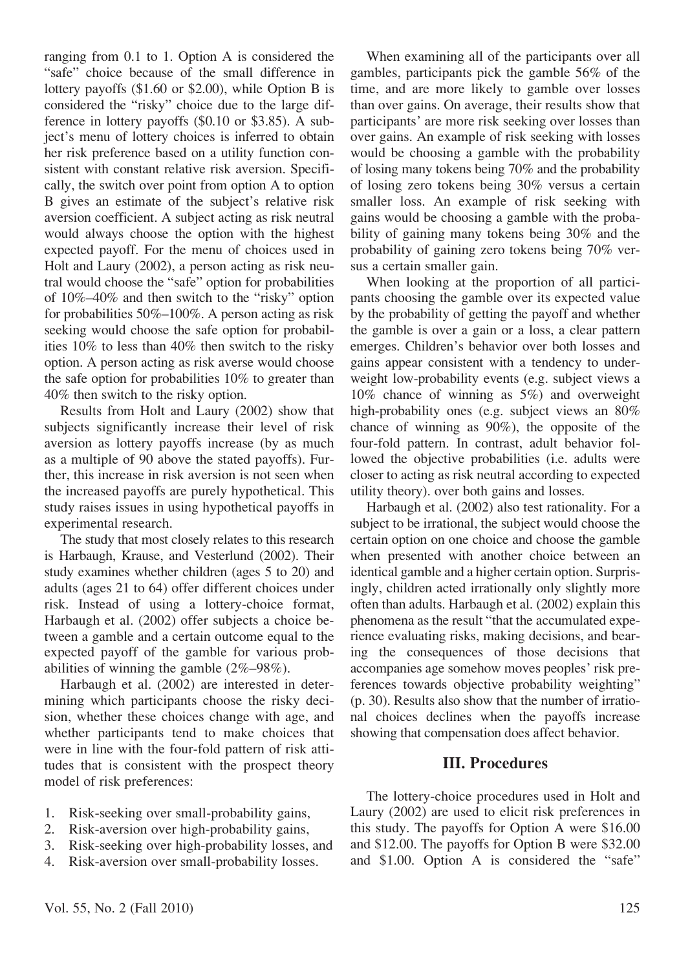ranging from 0.1 to 1. Option A is considered the "safe" choice because of the small difference in lottery payoffs (\$1.60 or \$2.00), while Option B is considered the "risky" choice due to the large difference in lottery payoffs (\$0.10 or \$3.85). A subject's menu of lottery choices is inferred to obtain her risk preference based on a utility function consistent with constant relative risk aversion. Specifically, the switch over point from option A to option B gives an estimate of the subject's relative risk aversion coefficient. A subject acting as risk neutral would always choose the option with the highest expected payoff. For the menu of choices used in Holt and Laury (2002), a person acting as risk neutral would choose the "safe" option for probabilities of 10%–40% and then switch to the "risky" option for probabilities 50%–100%. A person acting as risk seeking would choose the safe option for probabilities 10% to less than 40% then switch to the risky option. A person acting as risk averse would choose the safe option for probabilities 10% to greater than 40% then switch to the risky option.

Results from Holt and Laury (2002) show that subjects significantly increase their level of risk aversion as lottery payoffs increase (by as much as a multiple of 90 above the stated payoffs). Further, this increase in risk aversion is not seen when the increased payoffs are purely hypothetical. This study raises issues in using hypothetical payoffs in experimental research.

The study that most closely relates to this research is Harbaugh, Krause, and Vesterlund (2002). Their study examines whether children (ages 5 to 20) and adults (ages 21 to 64) offer different choices under risk. Instead of using a lottery-choice format, Harbaugh et al. (2002) offer subjects a choice between a gamble and a certain outcome equal to the expected payoff of the gamble for various probabilities of winning the gamble (2%–98%).

Harbaugh et al. (2002) are interested in determining which participants choose the risky decision, whether these choices change with age, and whether participants tend to make choices that were in line with the four-fold pattern of risk attitudes that is consistent with the prospect theory model of risk preferences:

- 1. Risk-seeking over small-probability gains,
- 2. Risk-aversion over high-probability gains,
- 3. Risk-seeking over high-probability losses, and
- 4. Risk-aversion over small-probability losses.

When examining all of the participants over all gambles, participants pick the gamble 56% of the time, and are more likely to gamble over losses than over gains. On average, their results show that participants' are more risk seeking over losses than over gains. An example of risk seeking with losses would be choosing a gamble with the probability of losing many tokens being 70% and the probability of losing zero tokens being 30% versus a certain smaller loss. An example of risk seeking with gains would be choosing a gamble with the probability of gaining many tokens being 30% and the probability of gaining zero tokens being 70% versus a certain smaller gain.

When looking at the proportion of all participants choosing the gamble over its expected value by the probability of getting the payoff and whether the gamble is over a gain or a loss, a clear pattern emerges. Children's behavior over both losses and gains appear consistent with a tendency to underweight low-probability events (e.g. subject views a 10% chance of winning as 5%) and overweight high-probability ones (e.g. subject views an 80% chance of winning as 90%), the opposite of the four-fold pattern. In contrast, adult behavior followed the objective probabilities (i.e. adults were closer to acting as risk neutral according to expected utility theory). over both gains and losses.

Harbaugh et al. (2002) also test rationality. For a subject to be irrational, the subject would choose the certain option on one choice and choose the gamble when presented with another choice between an identical gamble and a higher certain option. Surprisingly, children acted irrationally only slightly more often than adults. Harbaugh et al. (2002) explain this phenomena as the result "that the accumulated experience evaluating risks, making decisions, and bearing the consequences of those decisions that accompanies age somehow moves peoples' risk preferences towards objective probability weighting" (p. 30). Results also show that the number of irrational choices declines when the payoffs increase showing that compensation does affect behavior.

## III. Procedures

The lottery-choice procedures used in Holt and Laury (2002) are used to elicit risk preferences in this study. The payoffs for Option A were \$16.00 and \$12.00. The payoffs for Option B were \$32.00 and \$1.00. Option A is considered the "safe"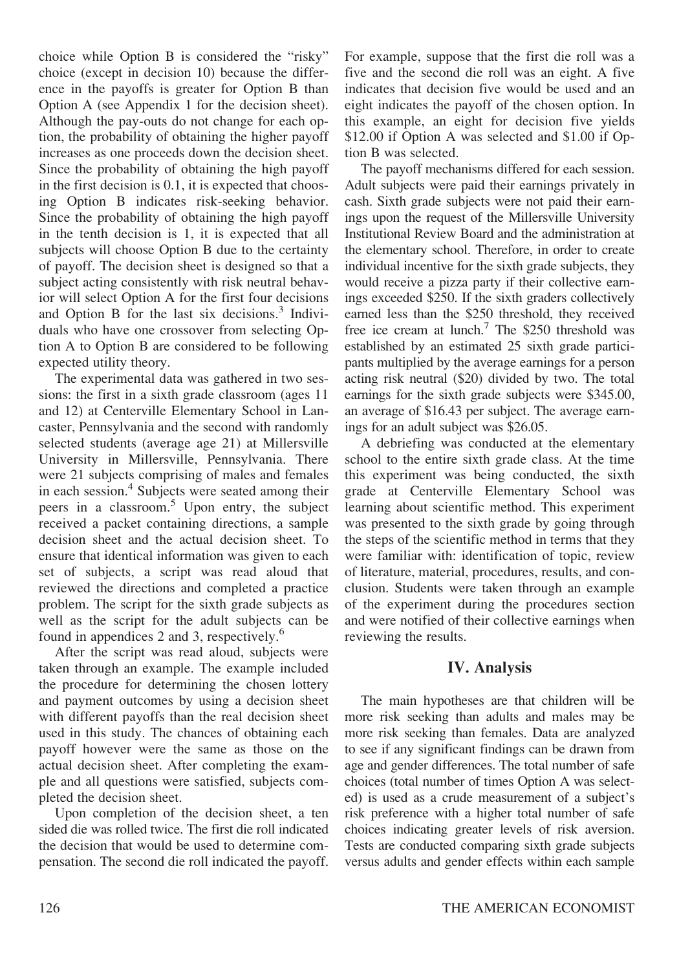choice while Option B is considered the "risky" choice (except in decision 10) because the difference in the payoffs is greater for Option B than Option A (see Appendix 1 for the decision sheet). Although the pay-outs do not change for each option, the probability of obtaining the higher payoff increases as one proceeds down the decision sheet. Since the probability of obtaining the high payoff in the first decision is 0.1, it is expected that choosing Option B indicates risk-seeking behavior. Since the probability of obtaining the high payoff in the tenth decision is 1, it is expected that all subjects will choose Option B due to the certainty of payoff. The decision sheet is designed so that a subject acting consistently with risk neutral behavior will select Option A for the first four decisions and Option B for the last six decisions. $3$  Individuals who have one crossover from selecting Option A to Option B are considered to be following expected utility theory.

The experimental data was gathered in two sessions: the first in a sixth grade classroom (ages 11 and 12) at Centerville Elementary School in Lancaster, Pennsylvania and the second with randomly selected students (average age 21) at Millersville University in Millersville, Pennsylvania. There were 21 subjects comprising of males and females in each session.<sup>4</sup> Subjects were seated among their peers in a classroom.<sup>5</sup> Upon entry, the subject received a packet containing directions, a sample decision sheet and the actual decision sheet. To ensure that identical information was given to each set of subjects, a script was read aloud that reviewed the directions and completed a practice problem. The script for the sixth grade subjects as well as the script for the adult subjects can be found in appendices 2 and 3, respectively.<sup>6</sup>

After the script was read aloud, subjects were taken through an example. The example included the procedure for determining the chosen lottery and payment outcomes by using a decision sheet with different payoffs than the real decision sheet used in this study. The chances of obtaining each payoff however were the same as those on the actual decision sheet. After completing the example and all questions were satisfied, subjects completed the decision sheet.

Upon completion of the decision sheet, a ten sided die was rolled twice. The first die roll indicated the decision that would be used to determine compensation. The second die roll indicated the payoff. For example, suppose that the first die roll was a five and the second die roll was an eight. A five indicates that decision five would be used and an eight indicates the payoff of the chosen option. In this example, an eight for decision five yields \$12.00 if Option A was selected and \$1.00 if Option B was selected.

The payoff mechanisms differed for each session. Adult subjects were paid their earnings privately in cash. Sixth grade subjects were not paid their earnings upon the request of the Millersville University Institutional Review Board and the administration at the elementary school. Therefore, in order to create individual incentive for the sixth grade subjects, they would receive a pizza party if their collective earnings exceeded \$250. If the sixth graders collectively earned less than the \$250 threshold, they received free ice cream at lunch.<sup>7</sup> The \$250 threshold was established by an estimated 25 sixth grade participants multiplied by the average earnings for a person acting risk neutral (\$20) divided by two. The total earnings for the sixth grade subjects were \$345.00, an average of \$16.43 per subject. The average earnings for an adult subject was \$26.05.

A debriefing was conducted at the elementary school to the entire sixth grade class. At the time this experiment was being conducted, the sixth grade at Centerville Elementary School was learning about scientific method. This experiment was presented to the sixth grade by going through the steps of the scientific method in terms that they were familiar with: identification of topic, review of literature, material, procedures, results, and conclusion. Students were taken through an example of the experiment during the procedures section and were notified of their collective earnings when reviewing the results.

## IV. Analysis

The main hypotheses are that children will be more risk seeking than adults and males may be more risk seeking than females. Data are analyzed to see if any significant findings can be drawn from age and gender differences. The total number of safe choices (total number of times Option A was selected) is used as a crude measurement of a subject's risk preference with a higher total number of safe choices indicating greater levels of risk aversion. Tests are conducted comparing sixth grade subjects versus adults and gender effects within each sample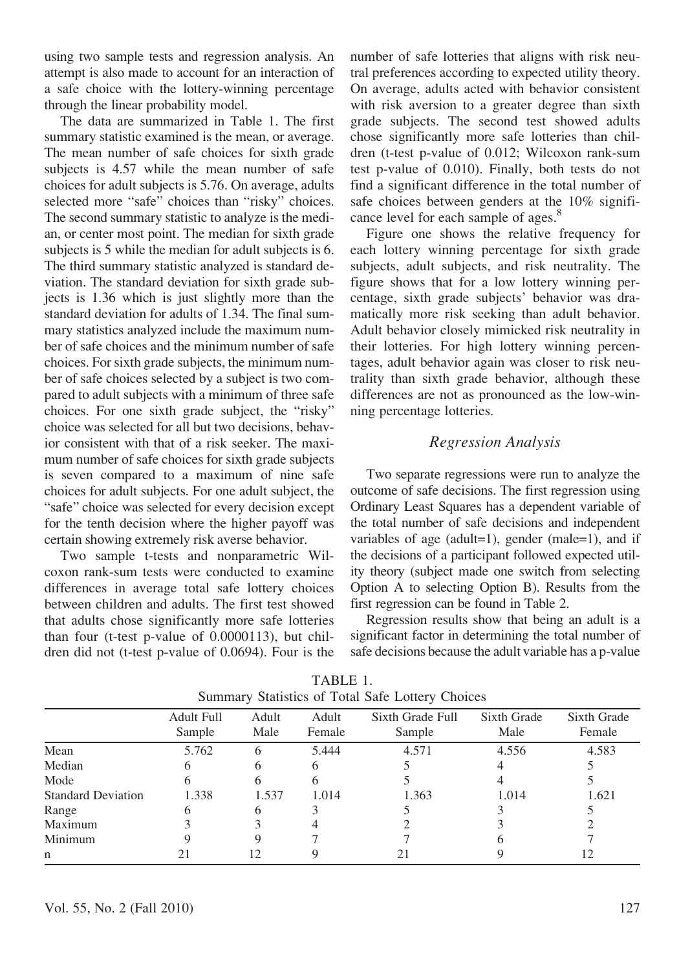using two sample tests and regression analysis. An attempt is also made to account for an interaction of a safe choice with the lottery-winning percentage through the linear probability model.

The data are summarized in Table 1. The first summary statistic examined is the mean, or average. The mean number of safe choices for sixth grade subjects is 4.57 while the mean number of safe choices for adult subjects is 5.76. On average, adults selected more "safe" choices than "risky" choices. The second summary statistic to analyze is the median, or center most point. The median for sixth grade subjects is 5 while the median for adult subjects is 6. The third summary statistic analyzed is standard deviation. The standard deviation for sixth grade subjects is 1.36 which is just slightly more than the standard deviation for adults of 1.34. The final summary statistics analyzed include the maximum number of safe choices and the minimum number of safe choices. For sixth grade subjects, the minimum number of safe choices selected by a subject is two compared to adult subjects with a minimum of three safe choices. For one sixth grade subject, the "risky" choice was selected for all but two decisions, behavior consistent with that of a risk seeker. The maximum number of safe choices for sixth grade subjects is seven compared to a maximum of nine safe choices for adult subjects. For one adult subject, the "safe" choice was selected for every decision except for the tenth decision where the higher payoff was certain showing extremely risk averse behavior.

Two sample t-tests and nonparametric Wilcoxon rank-sum tests were conducted to examine differences in average total safe lottery choices between children and adults. The first test showed that adults chose significantly more safe lotteries than four (t-test p-value of 0.0000113), but children did not (t-test p-value of 0.0694). Four is the number of safe lotteries that aligns with risk neutral preferences according to expected utility theory. On average, adults acted with behavior consistent with risk aversion to a greater degree than sixth grade subjects. The second test showed adults chose significantly more safe lotteries than children (t-test p-value of 0.012; Wilcoxon rank-sum test p-value of 0.010). Finally, both tests do not find a significant difference in the total number of safe choices between genders at the 10% significance level for each sample of ages.<sup>8</sup>

Figure one shows the relative frequency for each lottery winning percentage for sixth grade subjects, adult subjects, and risk neutrality. The figure shows that for a low lottery winning percentage, sixth grade subjects' behavior was dramatically more risk seeking than adult behavior. Adult behavior closely mimicked risk neutrality in their lotteries. For high lottery winning percentages, adult behavior again was closer to risk neutrality than sixth grade behavior, although these differences are not as pronounced as the low-winning percentage lotteries.

## Regression Analysis

Two separate regressions were run to analyze the outcome of safe decisions. The first regression using Ordinary Least Squares has a dependent variable of the total number of safe decisions and independent variables of age (adult=1), gender (male=1), and if the decisions of a participant followed expected utility theory (subject made one switch from selecting Option A to selecting Option B). Results from the first regression can be found in Table 2.

Regression results show that being an adult is a significant factor in determining the total number of safe decisions because the adult variable has a p-value

|                           | Adult Full<br>Sample | Adult<br>Male | Adult<br>Female | Sixth Grade Full<br>Sample | Sixth Grade<br>Male | Sixth Grade<br>Female |
|---------------------------|----------------------|---------------|-----------------|----------------------------|---------------------|-----------------------|
| Mean                      | 5.762                | 6             | 5.444           | 4.571                      | 4.556               | 4.583                 |
| Median                    |                      | h             | n               |                            |                     |                       |
| Mode                      |                      |               |                 |                            |                     |                       |
| <b>Standard Deviation</b> | 1.338                | 1.537         | 1.014           | 1.363                      | 1.014               | 1.621                 |
| Range                     |                      |               |                 |                            |                     |                       |
| Maximum                   |                      |               |                 |                            |                     |                       |
| Minimum                   |                      |               |                 |                            |                     |                       |
| n                         |                      | 12            |                 |                            |                     |                       |

TABLE 1. Summary Statistics of Total Safe Lottery Choices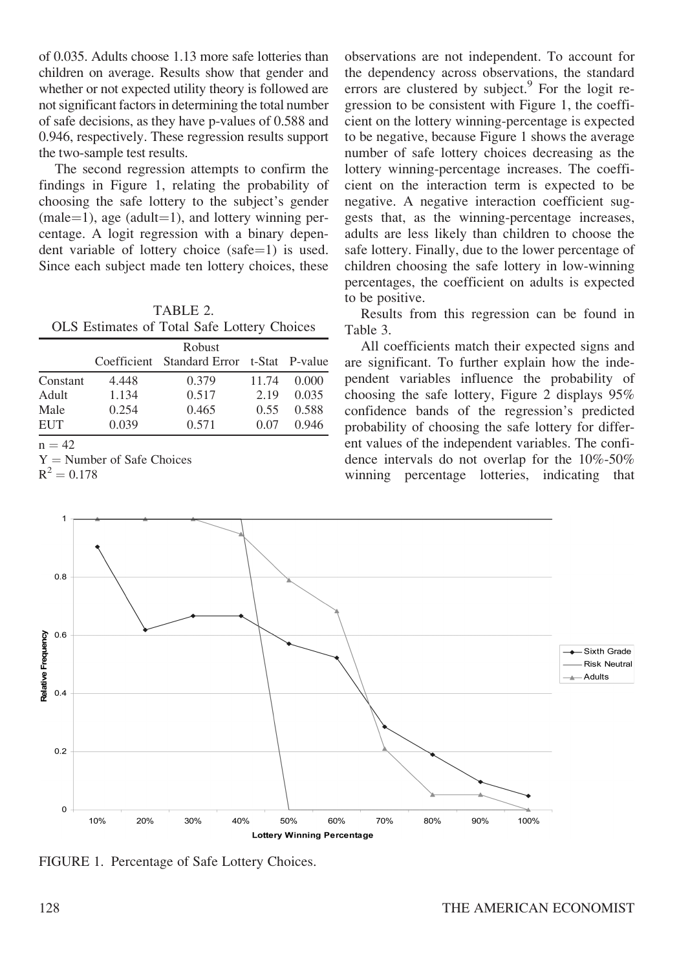of 0.035. Adults choose 1.13 more safe lotteries than children on average. Results show that gender and whether or not expected utility theory is followed are not significant factors in determining the total number of safe decisions, as they have p-values of 0.588 and 0.946, respectively. These regression results support the two-sample test results.

The second regression attempts to confirm the findings in Figure 1, relating the probability of choosing the safe lottery to the subject's gender  $(male=1)$ , age (adult=1), and lottery winning percentage. A logit regression with a binary dependent variable of lottery choice (safe $=1$ ) is used. Since each subject made ten lottery choices, these

TABLE 2. OLS Estimates of Total Safe Lottery Choices

|                              |       | Coefficient Standard Error t-Stat P-value |       |       |  |  |  |  |
|------------------------------|-------|-------------------------------------------|-------|-------|--|--|--|--|
| Constant                     | 4.448 | 0.379                                     | 11.74 | 0.000 |  |  |  |  |
| Adult                        | 1.134 | 0.517                                     | 2.19  | 0.035 |  |  |  |  |
| Male                         | 0.254 | 0.465                                     | 0.55  | 0.588 |  |  |  |  |
| <b>EUT</b>                   | 0.039 | 0.571                                     | 0.07  | 0.946 |  |  |  |  |
| $n = 42$                     |       |                                           |       |       |  |  |  |  |
| $Y =$ Number of Safe Choices |       |                                           |       |       |  |  |  |  |
| $R^2 = 0.178$                |       |                                           |       |       |  |  |  |  |

observations are not independent. To account for the dependency across observations, the standard errors are clustered by subject. $9$  For the logit regression to be consistent with Figure 1, the coefficient on the lottery winning-percentage is expected to be negative, because Figure 1 shows the average number of safe lottery choices decreasing as the lottery winning-percentage increases. The coefficient on the interaction term is expected to be negative. A negative interaction coefficient suggests that, as the winning-percentage increases, adults are less likely than children to choose the safe lottery. Finally, due to the lower percentage of children choosing the safe lottery in low-winning percentages, the coefficient on adults is expected to be positive.

Results from this regression can be found in Table 3.

All coefficients match their expected signs and are significant. To further explain how the independent variables influence the probability of choosing the safe lottery, Figure 2 displays 95% confidence bands of the regression's predicted probability of choosing the safe lottery for different values of the independent variables. The confidence intervals do not overlap for the 10%-50% winning percentage lotteries, indicating that



FIGURE 1. Percentage of Safe Lottery Choices.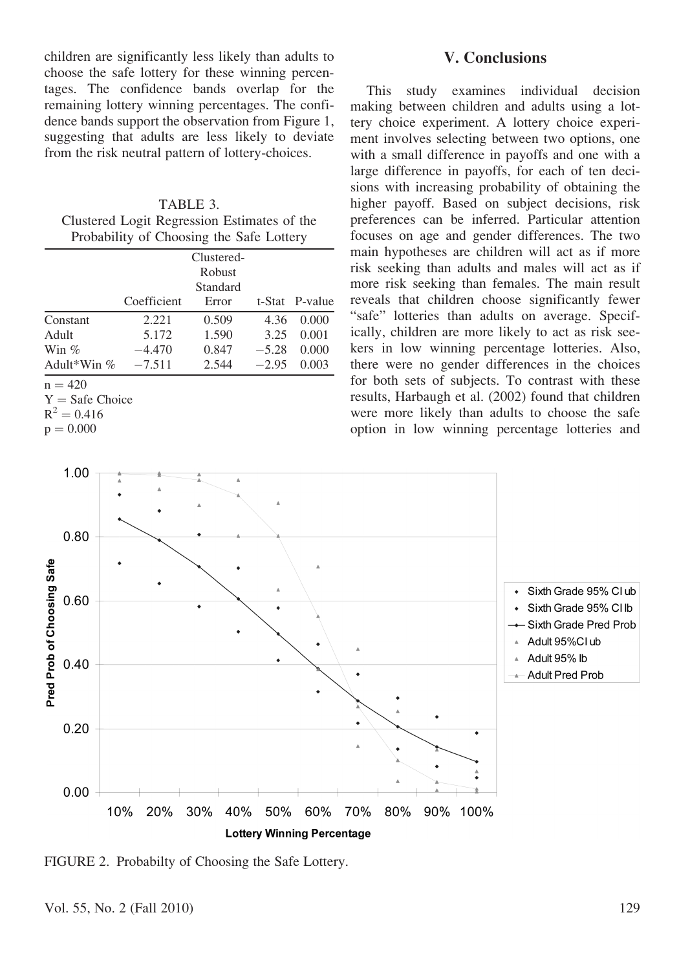children are significantly less likely than adults to choose the safe lottery for these winning percentages. The confidence bands overlap for the remaining lottery winning percentages. The confidence bands support the observation from Figure 1, suggesting that adults are less likely to deviate from the risk neutral pattern of lottery-choices.

| TABLE 3.                                    |
|---------------------------------------------|
| Clustered Logit Regression Estimates of the |
| Probability of Choosing the Safe Lottery    |

|               | Coefficient | Clustered-<br><b>Robust</b><br>Standard<br>Error |         | t-Stat P-value |
|---------------|-------------|--------------------------------------------------|---------|----------------|
| Constant      | 2.221       | 0.509                                            | 4.36    | 0.000          |
| Adult         | 5.172       | 1.590                                            | 3.25    | 0.001          |
| Win $%$       | $-4.470$    | 0.847                                            | $-5.28$ | 0.000          |
| Adult*Win $%$ | $-7.511$    | 2.544                                            | $-2.95$ | 0.003          |
| $n = 420$     |             |                                                  |         |                |

 $Y =$ Safe Choice

 $R^2 = 0.416$ 

 $p = 0.000$ 



This study examines individual decision making between children and adults using a lottery choice experiment. A lottery choice experiment involves selecting between two options, one with a small difference in payoffs and one with a large difference in payoffs, for each of ten decisions with increasing probability of obtaining the higher payoff. Based on subject decisions, risk preferences can be inferred. Particular attention focuses on age and gender differences. The two main hypotheses are children will act as if more risk seeking than adults and males will act as if more risk seeking than females. The main result reveals that children choose significantly fewer "safe" lotteries than adults on average. Specifically, children are more likely to act as risk seekers in low winning percentage lotteries. Also, there were no gender differences in the choices for both sets of subjects. To contrast with these results, Harbaugh et al. (2002) found that children were more likely than adults to choose the safe option in low winning percentage lotteries and



FIGURE 2. Probabilty of Choosing the Safe Lottery.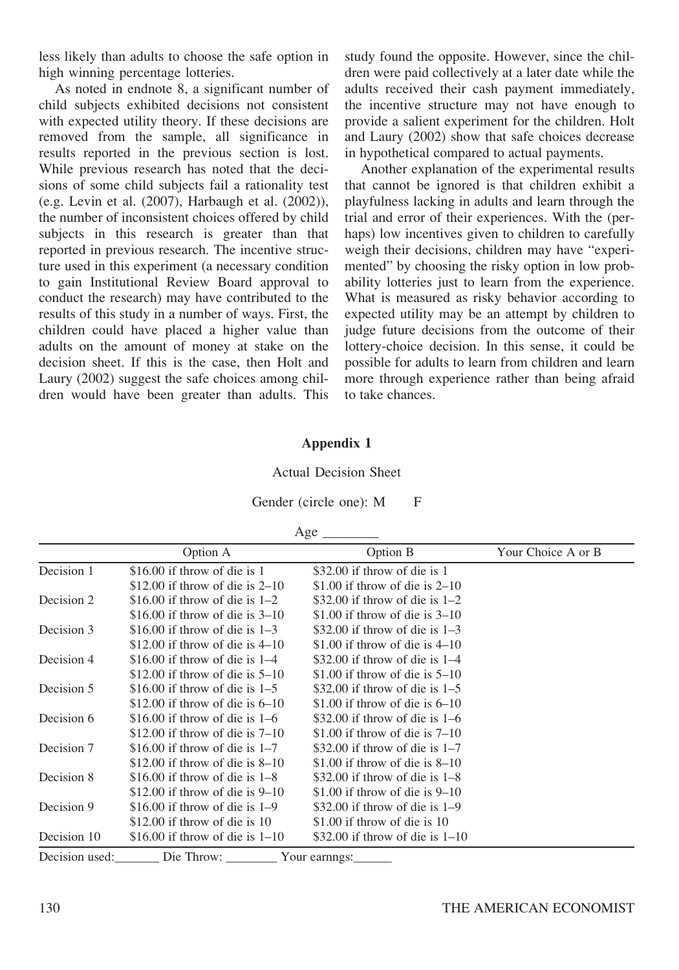less likely than adults to choose the safe option in high winning percentage lotteries.

As noted in endnote 8, a significant number of child subjects exhibited decisions not consistent with expected utility theory. If these decisions are removed from the sample, all significance in results reported in the previous section is lost. While previous research has noted that the decisions of some child subjects fail a rationality test (e.g. Levin et al. (2007), Harbaugh et al. (2002)), the number of inconsistent choices offered by child subjects in this research is greater than that reported in previous research. The incentive structure used in this experiment (a necessary condition to gain Institutional Review Board approval to conduct the research) may have contributed to the results of this study in a number of ways. First, the children could have placed a higher value than adults on the amount of money at stake on the decision sheet. If this is the case, then Holt and Laury (2002) suggest the safe choices among children would have been greater than adults. This study found the opposite. However, since the children were paid collectively at a later date while the adults received their cash payment immediately, the incentive structure may not have enough to provide a salient experiment for the children. Holt and Laury (2002) show that safe choices decrease in hypothetical compared to actual payments.

Another explanation of the experimental results that cannot be ignored is that children exhibit a playfulness lacking in adults and learn through the trial and error of their experiences. With the (perhaps) low incentives given to children to carefully weigh their decisions, children may have "experimented" by choosing the risky option in low probability lotteries just to learn from the experience. What is measured as risky behavior according to expected utility may be an attempt by children to judge future decisions from the outcome of their lottery-choice decision. In this sense, it could be possible for adults to learn from children and learn more through experience rather than being afraid to take chances.

## Appendix 1

#### Actual Decision Sheet

Gender (circle one): M F

 $\Delta$   $\sigma$ e

|                | Option A                          | Option B                          | Your Choice A or B |
|----------------|-----------------------------------|-----------------------------------|--------------------|
| Decision 1     | \$16.00 if throw of die is 1      | \$32.00 if throw of die is $1$    |                    |
|                | \$12.00 if throw of die is $2-10$ | \$1.00 if throw of die is $2-10$  |                    |
| Decision 2     | \$16.00 if throw of die is $1-2$  | \$32.00 if throw of die is $1-2$  |                    |
|                | \$16.00 if throw of die is $3-10$ | \$1.00 if throw of die is $3-10$  |                    |
| Decision 3     | \$16.00 if throw of die is $1-3$  | \$32.00 if throw of die is $1-3$  |                    |
|                | \$12.00 if throw of die is $4-10$ | \$1.00 if throw of die is $4-10$  |                    |
| Decision 4     | \$16.00 if throw of die is $1-4$  | \$32.00 if throw of die is $1-4$  |                    |
|                | \$12.00 if throw of die is $5-10$ | \$1.00 if throw of die is $5-10$  |                    |
| Decision 5     | \$16.00 if throw of die is $1-5$  | \$32.00 if throw of die is $1-5$  |                    |
|                | \$12.00 if throw of die is $6-10$ | \$1.00 if throw of die is $6-10$  |                    |
| Decision 6     | \$16.00 if throw of die is $1-6$  | \$32.00 if throw of die is $1-6$  |                    |
|                | \$12.00 if throw of die is $7-10$ | \$1.00 if throw of die is $7-10$  |                    |
| Decision 7     | \$16.00 if throw of die is $1-7$  | \$32.00 if throw of die is $1-7$  |                    |
|                | \$12.00 if throw of die is $8-10$ | \$1.00 if throw of die is $8-10$  |                    |
| Decision 8     | \$16.00 if throw of die is $1-8$  | \$32.00 if throw of die is $1-8$  |                    |
|                | \$12.00 if throw of die is $9-10$ | \$1.00 if throw of die is $9-10$  |                    |
| Decision 9     | \$16.00 if throw of die is $1-9$  | \$32.00 if throw of die is $1-9$  |                    |
|                | \$12.00 if throw of die is $10$   | \$1.00 if throw of die is $10$    |                    |
| Decision 10    | \$16.00 if throw of die is $1-10$ | \$32.00 if throw of die is $1-10$ |                    |
| Decision used: | Die Throw:                        | Your earnings:                    |                    |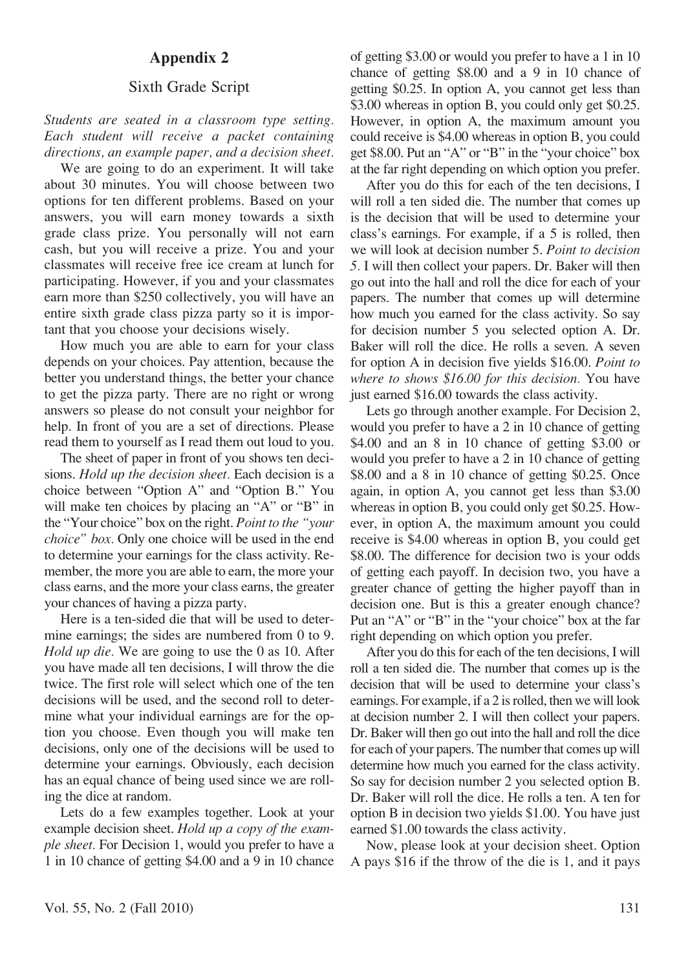## Appendix 2

#### Sixth Grade Script

Students are seated in a classroom type setting. Each student will receive a packet containing directions, an example paper, and a decision sheet.

We are going to do an experiment. It will take about 30 minutes. You will choose between two options for ten different problems. Based on your answers, you will earn money towards a sixth grade class prize. You personally will not earn cash, but you will receive a prize. You and your classmates will receive free ice cream at lunch for participating. However, if you and your classmates earn more than \$250 collectively, you will have an entire sixth grade class pizza party so it is important that you choose your decisions wisely.

How much you are able to earn for your class depends on your choices. Pay attention, because the better you understand things, the better your chance to get the pizza party. There are no right or wrong answers so please do not consult your neighbor for help. In front of you are a set of directions. Please read them to yourself as I read them out loud to you.

The sheet of paper in front of you shows ten decisions. Hold up the decision sheet. Each decision is a choice between "Option A" and "Option B." You will make ten choices by placing an "A" or "B" in the "Your choice" box on the right. Point to the "your choice" box. Only one choice will be used in the end to determine your earnings for the class activity. Remember, the more you are able to earn, the more your class earns, and the more your class earns, the greater your chances of having a pizza party.

Here is a ten-sided die that will be used to determine earnings; the sides are numbered from 0 to 9. Hold up die. We are going to use the 0 as 10. After you have made all ten decisions, I will throw the die twice. The first role will select which one of the ten decisions will be used, and the second roll to determine what your individual earnings are for the option you choose. Even though you will make ten decisions, only one of the decisions will be used to determine your earnings. Obviously, each decision has an equal chance of being used since we are rolling the dice at random.

Lets do a few examples together. Look at your example decision sheet. Hold up a copy of the example sheet. For Decision 1, would you prefer to have a 1 in 10 chance of getting \$4.00 and a 9 in 10 chance of getting \$3.00 or would you prefer to have a 1 in 10 chance of getting \$8.00 and a 9 in 10 chance of getting \$0.25. In option A, you cannot get less than \$3.00 whereas in option B, you could only get \$0.25. However, in option A, the maximum amount you could receive is \$4.00 whereas in option B, you could get \$8.00. Put an "A" or "B" in the "your choice" box at the far right depending on which option you prefer.

After you do this for each of the ten decisions, I will roll a ten sided die. The number that comes up is the decision that will be used to determine your class's earnings. For example, if a 5 is rolled, then we will look at decision number 5. Point to decision 5. I will then collect your papers. Dr. Baker will then go out into the hall and roll the dice for each of your papers. The number that comes up will determine how much you earned for the class activity. So say for decision number 5 you selected option A. Dr. Baker will roll the dice. He rolls a seven. A seven for option A in decision five yields \$16.00. Point to where to shows \$16.00 for this decision. You have just earned \$16.00 towards the class activity.

Lets go through another example. For Decision 2, would you prefer to have a 2 in 10 chance of getting \$4.00 and an 8 in 10 chance of getting \$3.00 or would you prefer to have a 2 in 10 chance of getting \$8.00 and a 8 in 10 chance of getting \$0.25. Once again, in option A, you cannot get less than \$3.00 whereas in option B, you could only get \$0.25. However, in option A, the maximum amount you could receive is \$4.00 whereas in option B, you could get \$8.00. The difference for decision two is your odds of getting each payoff. In decision two, you have a greater chance of getting the higher payoff than in decision one. But is this a greater enough chance? Put an "A" or "B" in the "your choice" box at the far right depending on which option you prefer.

After you do this for each of the ten decisions, I will roll a ten sided die. The number that comes up is the decision that will be used to determine your class's earnings. For example, if a 2 is rolled, then we will look at decision number 2. I will then collect your papers. Dr. Baker will then go out into the hall and roll the dice for each of your papers. The number that comes up will determine how much you earned for the class activity. So say for decision number 2 you selected option B. Dr. Baker will roll the dice. He rolls a ten. A ten for option B in decision two yields \$1.00. You have just earned \$1.00 towards the class activity.

Now, please look at your decision sheet. Option A pays \$16 if the throw of the die is 1, and it pays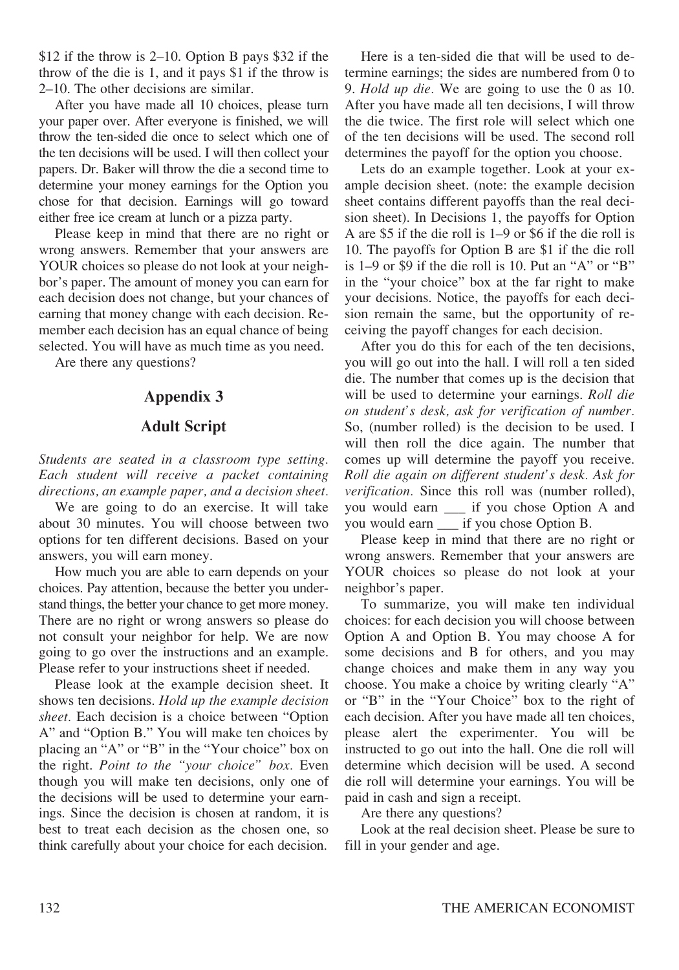\$12 if the throw is 2–10. Option B pays \$32 if the throw of the die is 1, and it pays \$1 if the throw is 2–10. The other decisions are similar.

After you have made all 10 choices, please turn your paper over. After everyone is finished, we will throw the ten-sided die once to select which one of the ten decisions will be used. I will then collect your papers. Dr. Baker will throw the die a second time to determine your money earnings for the Option you chose for that decision. Earnings will go toward either free ice cream at lunch or a pizza party.

Please keep in mind that there are no right or wrong answers. Remember that your answers are YOUR choices so please do not look at your neighbor's paper. The amount of money you can earn for each decision does not change, but your chances of earning that money change with each decision. Remember each decision has an equal chance of being selected. You will have as much time as you need.

Are there any questions?

## Appendix 3

## Adult Script

Students are seated in a classroom type setting. Each student will receive a packet containing directions, an example paper, and a decision sheet.

We are going to do an exercise. It will take about 30 minutes. You will choose between two options for ten different decisions. Based on your answers, you will earn money.

How much you are able to earn depends on your choices. Pay attention, because the better you understand things, the better your chance to get more money. There are no right or wrong answers so please do not consult your neighbor for help. We are now going to go over the instructions and an example. Please refer to your instructions sheet if needed.

Please look at the example decision sheet. It shows ten decisions. Hold up the example decision sheet. Each decision is a choice between "Option A" and "Option B." You will make ten choices by placing an "A" or "B" in the "Your choice" box on the right. Point to the "your choice" box. Even though you will make ten decisions, only one of the decisions will be used to determine your earnings. Since the decision is chosen at random, it is best to treat each decision as the chosen one, so think carefully about your choice for each decision.

Here is a ten-sided die that will be used to determine earnings; the sides are numbered from 0 to 9. Hold up die. We are going to use the 0 as 10. After you have made all ten decisions, I will throw the die twice. The first role will select which one of the ten decisions will be used. The second roll determines the payoff for the option you choose.

Lets do an example together. Look at your example decision sheet. (note: the example decision sheet contains different payoffs than the real decision sheet). In Decisions 1, the payoffs for Option A are \$5 if the die roll is 1–9 or \$6 if the die roll is 10. The payoffs for Option B are \$1 if the die roll is 1–9 or \$9 if the die roll is 10. Put an "A" or "B" in the "your choice" box at the far right to make your decisions. Notice, the payoffs for each decision remain the same, but the opportunity of receiving the payoff changes for each decision.

After you do this for each of the ten decisions, you will go out into the hall. I will roll a ten sided die. The number that comes up is the decision that will be used to determine your earnings. Roll die on student's desk, ask for verification of number. So, (number rolled) is the decision to be used. I will then roll the dice again. The number that comes up will determine the payoff you receive. Roll die again on different student's desk. Ask for verification. Since this roll was (number rolled), you would earn \_\_\_ if you chose Option A and you would earn \_\_\_ if you chose Option B.

Please keep in mind that there are no right or wrong answers. Remember that your answers are YOUR choices so please do not look at your neighbor's paper.

To summarize, you will make ten individual choices: for each decision you will choose between Option A and Option B. You may choose A for some decisions and B for others, and you may change choices and make them in any way you choose. You make a choice by writing clearly "A" or "B" in the "Your Choice" box to the right of each decision. After you have made all ten choices, please alert the experimenter. You will be instructed to go out into the hall. One die roll will determine which decision will be used. A second die roll will determine your earnings. You will be paid in cash and sign a receipt.

Are there any questions?

Look at the real decision sheet. Please be sure to fill in your gender and age.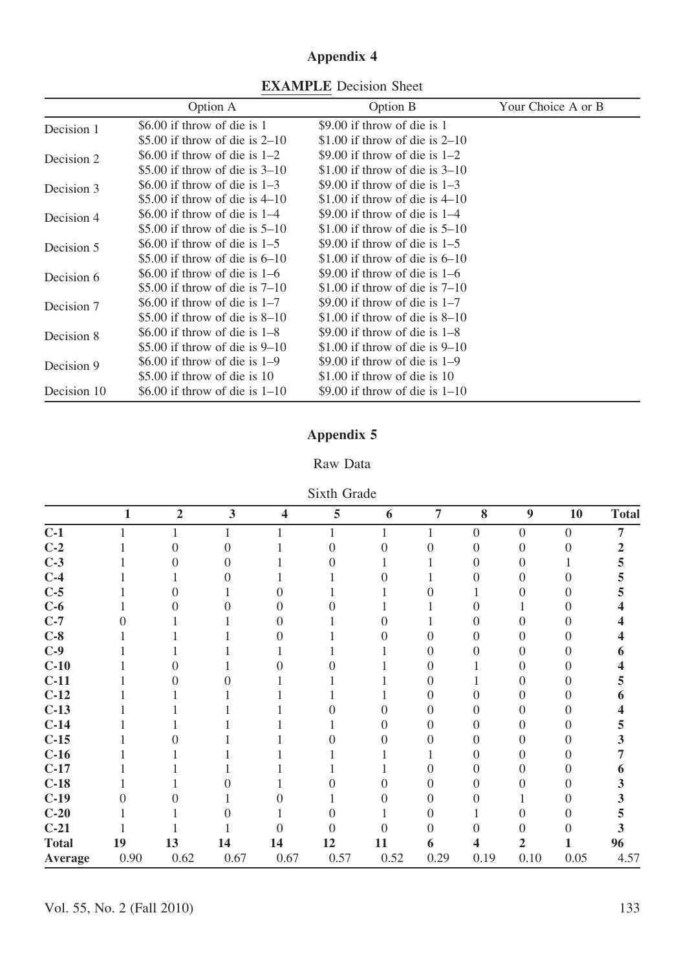# Appendix 4

EXAMPLE Decision Sheet

|             | Option A                         | Option B                         | Your Choice A or B |
|-------------|----------------------------------|----------------------------------|--------------------|
| Decision 1  | \$6.00 if throw of die is $1$    | \$9.00 if throw of die is $1$    |                    |
|             | \$5.00 if throw of die is $2-10$ | \$1.00 if throw of die is $2-10$ |                    |
| Decision 2  | \$6.00 if throw of die is $1-2$  | \$9.00 if throw of die is $1-2$  |                    |
|             | \$5.00 if throw of die is $3-10$ | \$1.00 if throw of die is $3-10$ |                    |
| Decision 3  | \$6.00 if throw of die is $1-3$  | \$9.00 if throw of die is $1-3$  |                    |
|             | \$5.00 if throw of die is $4-10$ | \$1.00 if throw of die is $4-10$ |                    |
| Decision 4  | \$6.00 if throw of die is $1-4$  | \$9.00 if throw of die is $1-4$  |                    |
|             | \$5.00 if throw of die is $5-10$ | \$1.00 if throw of die is $5-10$ |                    |
| Decision 5  | \$6.00 if throw of die is $1-5$  | \$9.00 if throw of die is $1-5$  |                    |
|             | \$5.00 if throw of die is $6-10$ | \$1.00 if throw of die is $6-10$ |                    |
| Decision 6  | \$6.00 if throw of die is $1-6$  | \$9.00 if throw of die is $1-6$  |                    |
|             | \$5.00 if throw of die is $7-10$ | \$1.00 if throw of die is $7-10$ |                    |
| Decision 7  | \$6.00 if throw of die is $1-7$  | \$9.00 if throw of die is $1-7$  |                    |
|             | \$5.00 if throw of die is $8-10$ | \$1.00 if throw of die is $8-10$ |                    |
| Decision 8  | $$6.00$ if throw of die is $1-8$ | \$9.00 if throw of die is $1-8$  |                    |
|             | \$5.00 if throw of die is $9-10$ | \$1.00 if throw of die is $9-10$ |                    |
| Decision 9  | \$6.00 if throw of die is $1-9$  | \$9.00 if throw of die is $1-9$  |                    |
|             | \$5.00 if throw of die is 10     | \$1.00 if throw of die is $10$   |                    |
| Decision 10 | \$6.00 if throw of die is $1-10$ | \$9.00 if throw of die is $1-10$ |                    |

# Appendix 5

# Raw Data

|              | 1    | $\overline{2}$ | $\mathbf{3}$ | 4                 | 5    | 6            | $\overline{7}$ | ${\bf 8}$      | $\boldsymbol{9}$ | 10               | <b>Total</b> |
|--------------|------|----------------|--------------|-------------------|------|--------------|----------------|----------------|------------------|------------------|--------------|
| $C-1$        |      |                | 1            |                   |      |              | 1              | $\overline{0}$ | $\mathbf{0}$     | $\boldsymbol{0}$ | 7            |
| $C-2$        |      | 0              | 0            |                   | 0    | 0            | $\theta$       | 0              | $\theta$         | $\Omega$         | 2            |
| $C-3$        |      | $\mathbf{0}$   | 0            |                   | 0    |              |                | 0              | $\Omega$         |                  | 5            |
| $C-4$        |      |                | $^{(1)}$     |                   |      |              |                | $\theta$       | $\mathbf{0}$     | $\theta$         |              |
| $C-5$        |      | 0              |              | $\Omega$          |      |              | $\Omega$       |                | 0                | $\Omega$         |              |
| $C-6$        |      |                | $\mathbf{0}$ | 0                 |      |              |                | 0              |                  | 0                |              |
| $C-7$        | 0    |                |              | $\Omega$          |      | 0            |                | 0              | $\Omega$         | $\overline{0}$   |              |
| $C-8$        |      |                |              | 0                 |      |              | $\theta$       | 0              | 0                | $\theta$         |              |
| $C-9$        |      |                |              |                   |      |              | 0              | 0              | 0                | $\Omega$         |              |
| $C-10$       |      | $\mathcal{L}$  |              | 0                 |      |              | 0              |                | 0                | 0                |              |
| $C-11$       |      |                | $\mathbf{0}$ |                   |      |              | 0              |                | 0                | $\Omega$         |              |
| $C-12$       |      |                |              |                   |      |              | 0              | 0              | 0                | 0                |              |
| $C-13$       |      |                |              |                   | 0    | $\mathbf{0}$ | 0              | 0              | 0                | $\Omega$         |              |
| $C-14$       |      |                |              |                   |      | 0            | 0              | 0              | 0                | 0                | 5            |
| $C-15$       |      |                |              |                   | 0    | 0            | 0              | 0              | 0                | 0                | 3.           |
| $C-16$       |      |                |              |                   |      |              |                | 0              | $\mathbf{0}$     | 0                |              |
| $C-17$       |      |                |              |                   |      |              | 0              | 0              | 0                | 0                |              |
| $C-18$       |      |                | 0            |                   |      | 0            | 0              | 0              | $\mathbf{0}$     | 0                | 3            |
| $C-19$       | 0    |                |              | $\mathbf{\Omega}$ |      | 0            | 0              | $\theta$       |                  | 0                | 3            |
| $C-20$       |      |                | 0            |                   | 0    |              | 0              |                | 0                | 0                |              |
| $C-21$       |      |                |              | 0                 | 0    |              | 0              | 0              | 0                | 0                | 3            |
| <b>Total</b> | 19   | 13             | 14           | 14                | 12   | 11           | 6              | 4              | 2                |                  | 96           |
| Average      | 0.90 | 0.62           | 0.67         | 0.67              | 0.57 | 0.52         | 0.29           | 0.19           | 0.10             | 0.05             | 4.57         |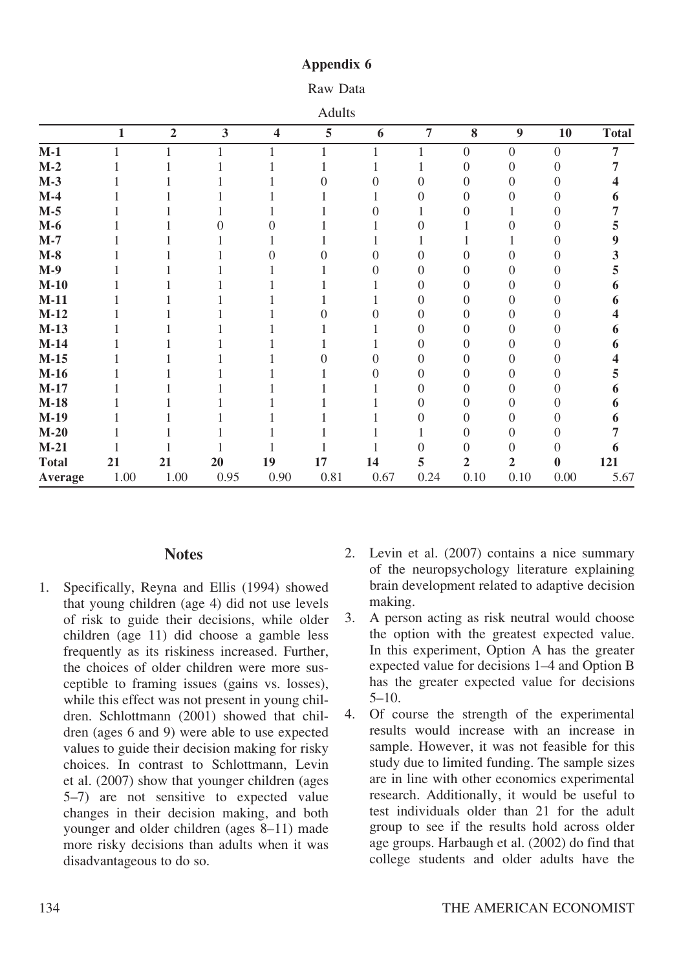# Appendix 6

Raw Data

|              | Adults |                |      |          |          |          |          |                  |                  |                |              |
|--------------|--------|----------------|------|----------|----------|----------|----------|------------------|------------------|----------------|--------------|
|              | 1      | $\overline{2}$ | 3    | 4        | 5        | 6        | 7        | 8                | $\boldsymbol{9}$ | 10             | <b>Total</b> |
| $M-1$        |        |                |      |          |          | 1        |          | $\theta$         | $\overline{0}$   | $\theta$       | 7            |
| $M-2$        |        |                |      |          |          |          |          | $\theta$         | $\overline{0}$   | 0              | 7            |
| $M-3$        |        |                |      |          | 0        | 0        | 0        | $\theta$         | $\theta$         | $\overline{0}$ |              |
| $M-4$        |        |                |      |          |          |          | 0        | $\Omega$         | $\Omega$         | 0              | 6            |
| $M-5$        |        |                |      |          |          | 0        |          | $\theta$         |                  | 0              |              |
| $M-6$        |        |                | 0    | $\theta$ |          |          | 0        |                  | $\theta$         | 0              | 5            |
| $M-7$        |        |                |      |          |          |          |          |                  |                  | 0              | 9            |
| $M-8$        |        |                |      | $\theta$ | $\Omega$ | $\theta$ | $\theta$ | $\Omega$         | $\Omega$         | 0              | 3            |
| $M-9$        |        |                |      |          |          | 0        | 0        | $\theta$         | $\theta$         | 0              | 5            |
| $M-10$       |        |                |      |          |          |          | $\theta$ | $\theta$         | $\overline{0}$   | 0              | 6            |
| $M-11$       |        |                |      |          |          |          | 0        | $\theta$         | $\theta$         | $\theta$       | 6            |
| $M-12$       |        |                |      |          | $\theta$ | $\theta$ | $\theta$ | $\Omega$         | $\overline{0}$   | 0              |              |
| $M-13$       |        |                |      |          |          |          | 0        | $\theta$         | $\theta$         | 0              | 6            |
| $M-14$       |        |                |      |          |          |          | $\theta$ | $\theta$         | $\theta$         | $\theta$       | 6            |
| $M-15$       |        |                |      |          | 0        | 0        | 0        | $\theta$         | $\theta$         | 0              | 4            |
| $M-16$       |        |                |      |          |          | $\theta$ | $\theta$ | $\boldsymbol{0}$ | $\boldsymbol{0}$ | $\overline{0}$ | 5            |
| $M-17$       |        |                |      |          |          |          | 0        | $\Omega$         | $\theta$         | 0              | 6            |
| $M-18$       |        |                |      |          |          |          | 0        | $\Omega$         | $\theta$         | 0              | h            |
| $M-19$       |        |                |      |          |          |          | 0        | $\Omega$         | $\theta$         | 0              | 6            |
| $M-20$       |        |                |      |          |          |          |          | $\Omega$         | $\theta$         | 0              |              |
| $M-21$       |        |                |      |          |          |          | 0        | $\Omega$         | $\Omega$         | 0              | 6            |
| <b>Total</b> | 21     | 21             | 20   | 19       | 17       | 14       | 5        | 2                | 2                | 0              | 121          |
| Average      | 1.00   | 1.00           | 0.95 | 0.90     | $0.81\,$ | 0.67     | 0.24     | 0.10             | 0.10             | $0.00\,$       | 5.67         |

# **Notes**

- 1. Specifically, Reyna and Ellis (1994) showed that young children (age 4) did not use levels of risk to guide their decisions, while older children (age 11) did choose a gamble less frequently as its riskiness increased. Further, the choices of older children were more susceptible to framing issues (gains vs. losses), while this effect was not present in young children. Schlottmann (2001) showed that children (ages 6 and 9) were able to use expected values to guide their decision making for risky choices. In contrast to Schlottmann, Levin et al. (2007) show that younger children (ages 5–7) are not sensitive to expected value changes in their decision making, and both younger and older children (ages 8–11) made more risky decisions than adults when it was disadvantageous to do so.
- 2. Levin et al. (2007) contains a nice summary of the neuropsychology literature explaining brain development related to adaptive decision making.
- 3. A person acting as risk neutral would choose the option with the greatest expected value. In this experiment, Option A has the greater expected value for decisions 1–4 and Option B has the greater expected value for decisions  $5-10.$
- 4. Of course the strength of the experimental results would increase with an increase in sample. However, it was not feasible for this study due to limited funding. The sample sizes are in line with other economics experimental research. Additionally, it would be useful to test individuals older than 21 for the adult group to see if the results hold across older age groups. Harbaugh et al. (2002) do find that college students and older adults have the